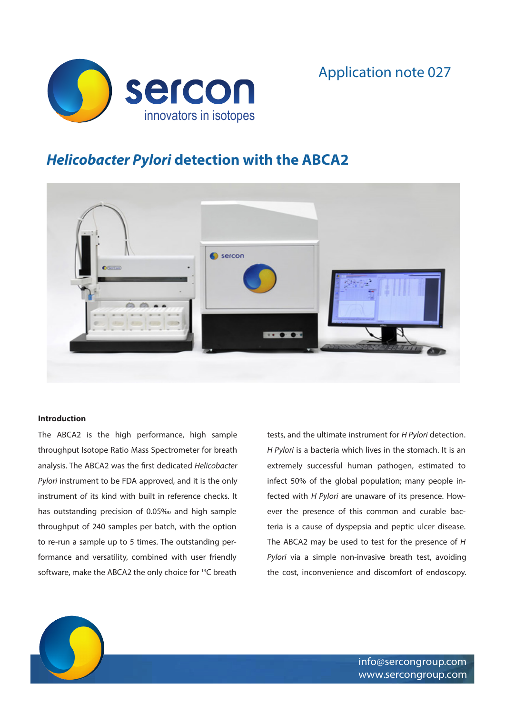



# *Helicobacter Pylori* **detection with the ABCA2**



## **Introduction**

The ABCA2 is the high performance, high sample throughput Isotope Ratio Mass Spectrometer for breath analysis. The ABCA2 was the first dedicated *Helicobacter Pylori* instrument to be FDA approved, and it is the only instrument of its kind with built in reference checks. It has outstanding precision of 0.05‰ and high sample throughput of 240 samples per batch, with the option to re-run a sample up to 5 times. The outstanding performance and versatility, combined with user friendly software, make the ABCA2 the only choice for <sup>13</sup>C breath

tests, and the ultimate instrument for *H Pylori* detection. *H Pylori* is a bacteria which lives in the stomach. It is an extremely successful human pathogen, estimated to infect 50% of the global population; many people infected with *H Pylori* are unaware of its presence. However the presence of this common and curable bacteria is a cause of dyspepsia and peptic ulcer disease. The ABCA2 may be used to test for the presence of *H Pylori* via a simple non-invasive breath test, avoiding the cost, inconvenience and discomfort of endoscopy.